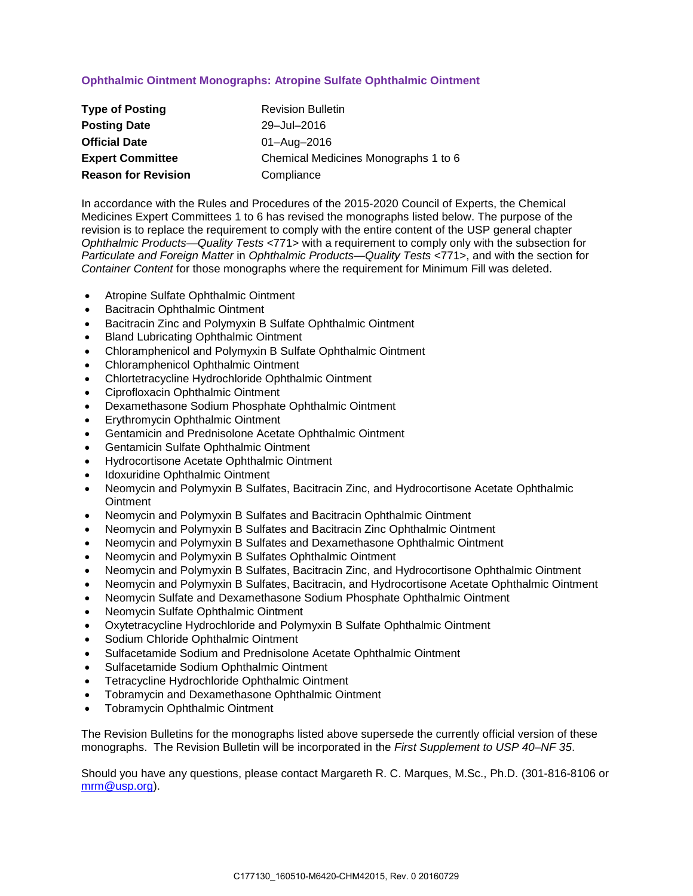# **Ophthalmic Ointment Monographs: Atropine Sulfate Ophthalmic Ointment**

| <b>Type of Posting</b>     | <b>Revision Bulletin</b>             |
|----------------------------|--------------------------------------|
| <b>Posting Date</b>        | 29-Jul-2016                          |
| <b>Official Date</b>       | 01-Aug-2016                          |
| <b>Expert Committee</b>    | Chemical Medicines Monographs 1 to 6 |
| <b>Reason for Revision</b> | Compliance                           |

In accordance with the Rules and Procedures of the 2015-2020 Council of Experts, the Chemical Medicines Expert Committees 1 to 6 has revised the monographs listed below. The purpose of the revision is to replace the requirement to comply with the entire content of the USP general chapter *Ophthalmic Products—Quality Tests* <771> with a requirement to comply only with the subsection for *Particulate and Foreign Matter* in *Ophthalmic Products—Quality Tests* <771>, and with the section for *Container Content* for those monographs where the requirement for Minimum Fill was deleted.

- Atropine Sulfate Ophthalmic Ointment
- Bacitracin Ophthalmic Ointment
- Bacitracin Zinc and Polymyxin B Sulfate Ophthalmic Ointment
- Bland Lubricating Ophthalmic Ointment
- Chloramphenicol and Polymyxin B Sulfate Ophthalmic Ointment
- Chloramphenicol Ophthalmic Ointment
- Chlortetracycline Hydrochloride Ophthalmic Ointment
- Ciprofloxacin Ophthalmic Ointment
- Dexamethasone Sodium Phosphate Ophthalmic Ointment
- Erythromycin Ophthalmic Ointment
- Gentamicin and Prednisolone Acetate Ophthalmic Ointment
- Gentamicin Sulfate Ophthalmic Ointment
- Hydrocortisone Acetate Ophthalmic Ointment
- Idoxuridine Ophthalmic Ointment
- Neomycin and Polymyxin B Sulfates, Bacitracin Zinc, and Hydrocortisone Acetate Ophthalmic **Ointment**
- Neomycin and Polymyxin B Sulfates and Bacitracin Ophthalmic Ointment
- Neomycin and Polymyxin B Sulfates and Bacitracin Zinc Ophthalmic Ointment
- Neomycin and Polymyxin B Sulfates and Dexamethasone Ophthalmic Ointment
- Neomycin and Polymyxin B Sulfates Ophthalmic Ointment
- Neomycin and Polymyxin B Sulfates, Bacitracin Zinc, and Hydrocortisone Ophthalmic Ointment
- Neomycin and Polymyxin B Sulfates, Bacitracin, and Hydrocortisone Acetate Ophthalmic Ointment
- Neomycin Sulfate and Dexamethasone Sodium Phosphate Ophthalmic Ointment
- Neomycin Sulfate Ophthalmic Ointment
- Oxytetracycline Hydrochloride and Polymyxin B Sulfate Ophthalmic Ointment
- Sodium Chloride Ophthalmic Ointment
- Sulfacetamide Sodium and Prednisolone Acetate Ophthalmic Ointment
- Sulfacetamide Sodium Ophthalmic Ointment
- Tetracycline Hydrochloride Ophthalmic Ointment
- Tobramycin and Dexamethasone Ophthalmic Ointment
- Tobramycin Ophthalmic Ointment

The Revision Bulletins for the monographs listed above supersede the currently official version of these monographs. The Revision Bulletin will be incorporated in the *First Supplement to USP 40–NF 35*.

Should you have any questions, please contact Margareth R. C. Marques, M.Sc., Ph.D. (301-816-8106 or [mrm@usp.org\)](mailto:mrm@usp.org).